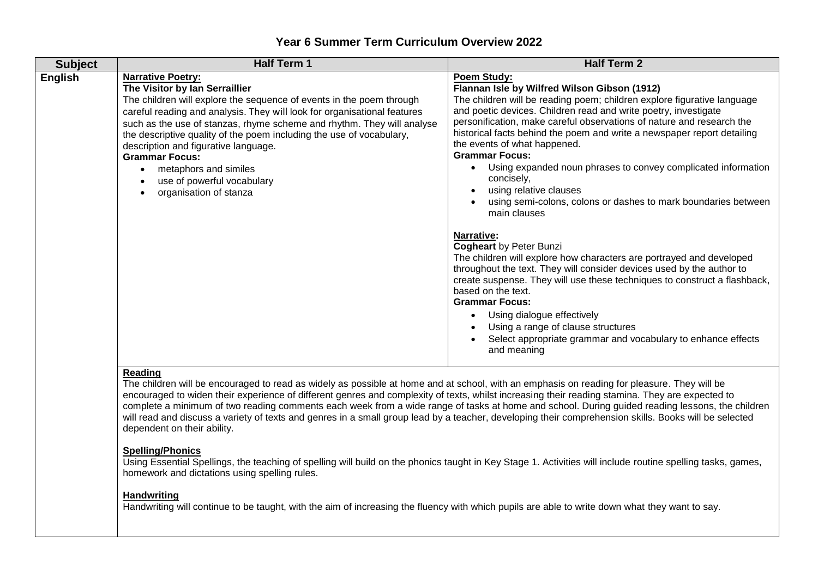## **Year 6 Summer Term Curriculum Overview 2022**

| <b>Subject</b> | <b>Half Term 1</b>                                                                                                                                                                                                                                                                                                                                                                                                                                                                                                 | <b>Half Term 2</b>                                                                                                                                                                                                                                                                                                                                                                                                                                                                                                                                                                                                                                                                                                                                                                                                                                                                                                                                                                                                                                                                                       |
|----------------|--------------------------------------------------------------------------------------------------------------------------------------------------------------------------------------------------------------------------------------------------------------------------------------------------------------------------------------------------------------------------------------------------------------------------------------------------------------------------------------------------------------------|----------------------------------------------------------------------------------------------------------------------------------------------------------------------------------------------------------------------------------------------------------------------------------------------------------------------------------------------------------------------------------------------------------------------------------------------------------------------------------------------------------------------------------------------------------------------------------------------------------------------------------------------------------------------------------------------------------------------------------------------------------------------------------------------------------------------------------------------------------------------------------------------------------------------------------------------------------------------------------------------------------------------------------------------------------------------------------------------------------|
| <b>English</b> | <b>Narrative Poetry:</b><br>The Visitor by Ian Serraillier<br>The children will explore the sequence of events in the poem through<br>careful reading and analysis. They will look for organisational features<br>such as the use of stanzas, rhyme scheme and rhythm. They will analyse<br>the descriptive quality of the poem including the use of vocabulary,<br>description and figurative language.<br><b>Grammar Focus:</b><br>metaphors and similes<br>use of powerful vocabulary<br>organisation of stanza | <b>Poem Study:</b><br>Flannan Isle by Wilfred Wilson Gibson (1912)<br>The children will be reading poem; children explore figurative language<br>and poetic devices. Children read and write poetry, investigate<br>personification, make careful observations of nature and research the<br>historical facts behind the poem and write a newspaper report detailing<br>the events of what happened.<br><b>Grammar Focus:</b><br>Using expanded noun phrases to convey complicated information<br>concisely,<br>using relative clauses<br>using semi-colons, colons or dashes to mark boundaries between<br>main clauses<br>Narrative:<br><b>Cogheart by Peter Bunzi</b><br>The children will explore how characters are portrayed and developed<br>throughout the text. They will consider devices used by the author to<br>create suspense. They will use these techniques to construct a flashback,<br>based on the text.<br><b>Grammar Focus:</b><br>Using dialogue effectively<br>Using a range of clause structures<br>Select appropriate grammar and vocabulary to enhance effects<br>and meaning |

## **Reading**

The children will be encouraged to read as widely as possible at home and at school, with an emphasis on reading for pleasure. They will be encouraged to widen their experience of different genres and complexity of texts, whilst increasing their reading stamina. They are expected to complete a minimum of two reading comments each week from a wide range of tasks at home and school. During guided reading lessons, the children will read and discuss a variety of texts and genres in a small group lead by a teacher, developing their comprehension skills. Books will be selected dependent on their ability.

## **Spelling/Phonics**

Using Essential Spellings, the teaching of spelling will build on the phonics taught in Key Stage 1. Activities will include routine spelling tasks, games, homework and dictations using spelling rules.

## **Handwriting**

Handwriting will continue to be taught, with the aim of increasing the fluency with which pupils are able to write down what they want to say.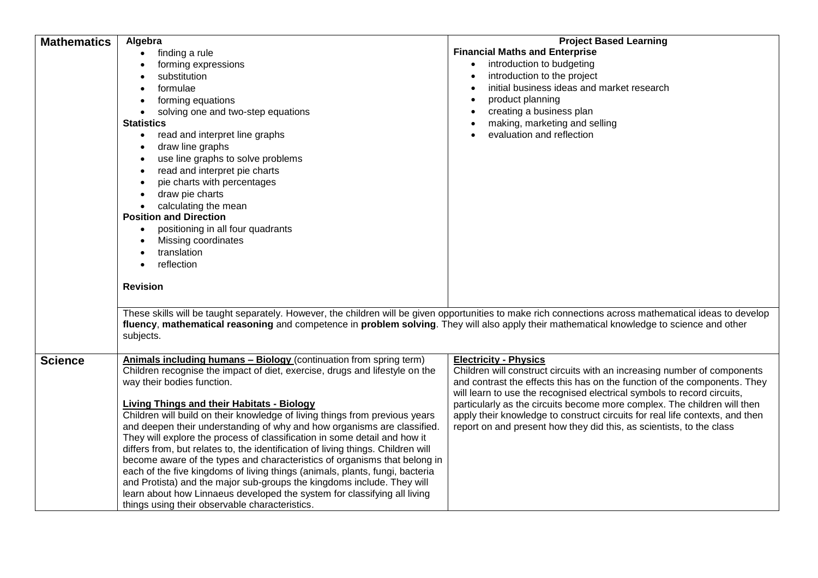| <b>Mathematics</b> | Algebra                                                                                                                                                 | <b>Project Based Learning</b>                                                |
|--------------------|---------------------------------------------------------------------------------------------------------------------------------------------------------|------------------------------------------------------------------------------|
|                    | finding a rule                                                                                                                                          | <b>Financial Maths and Enterprise</b>                                        |
|                    | forming expressions                                                                                                                                     | introduction to budgeting<br>$\bullet$                                       |
|                    | substitution                                                                                                                                            | introduction to the project                                                  |
|                    | formulae<br>$\bullet$                                                                                                                                   | initial business ideas and market research                                   |
|                    | forming equations                                                                                                                                       | product planning                                                             |
|                    | solving one and two-step equations<br>$\bullet$                                                                                                         | creating a business plan<br>$\bullet$                                        |
|                    | <b>Statistics</b>                                                                                                                                       | making, marketing and selling                                                |
|                    | read and interpret line graphs<br>$\bullet$                                                                                                             | evaluation and reflection                                                    |
|                    | draw line graphs                                                                                                                                        |                                                                              |
|                    | use line graphs to solve problems<br>$\bullet$                                                                                                          |                                                                              |
|                    | read and interpret pie charts                                                                                                                           |                                                                              |
|                    | pie charts with percentages                                                                                                                             |                                                                              |
|                    | draw pie charts                                                                                                                                         |                                                                              |
|                    | calculating the mean                                                                                                                                    |                                                                              |
|                    | <b>Position and Direction</b>                                                                                                                           |                                                                              |
|                    | positioning in all four quadrants                                                                                                                       |                                                                              |
|                    | Missing coordinates                                                                                                                                     |                                                                              |
|                    | translation                                                                                                                                             |                                                                              |
|                    | reflection                                                                                                                                              |                                                                              |
|                    |                                                                                                                                                         |                                                                              |
|                    | <b>Revision</b>                                                                                                                                         |                                                                              |
|                    |                                                                                                                                                         |                                                                              |
|                    | These skills will be taught separately. However, the children will be given opportunities to make rich connections across mathematical ideas to develop |                                                                              |
|                    | fluency, mathematical reasoning and competence in problem solving. They will also apply their mathematical knowledge to science and other               |                                                                              |
|                    | subjects.                                                                                                                                               |                                                                              |
|                    |                                                                                                                                                         |                                                                              |
| <b>Science</b>     | Animals including humans - Biology (continuation from spring term)                                                                                      | <b>Electricity - Physics</b>                                                 |
|                    | Children recognise the impact of diet, exercise, drugs and lifestyle on the                                                                             | Children will construct circuits with an increasing number of components     |
|                    | way their bodies function.                                                                                                                              | and contrast the effects this has on the function of the components. They    |
|                    |                                                                                                                                                         | will learn to use the recognised electrical symbols to record circuits,      |
|                    | <b>Living Things and their Habitats - Biology</b>                                                                                                       | particularly as the circuits become more complex. The children will then     |
|                    | Children will build on their knowledge of living things from previous years                                                                             | apply their knowledge to construct circuits for real life contexts, and then |
|                    | and deepen their understanding of why and how organisms are classified.                                                                                 | report on and present how they did this, as scientists, to the class         |
|                    | They will explore the process of classification in some detail and how it                                                                               |                                                                              |
|                    | differs from, but relates to, the identification of living things. Children will                                                                        |                                                                              |
|                    | become aware of the types and characteristics of organisms that belong in                                                                               |                                                                              |
|                    | each of the five kingdoms of living things (animals, plants, fungi, bacteria                                                                            |                                                                              |
|                    | and Protista) and the major sub-groups the kingdoms include. They will                                                                                  |                                                                              |
|                    | learn about how Linnaeus developed the system for classifying all living                                                                                |                                                                              |
|                    | things using their observable characteristics.                                                                                                          |                                                                              |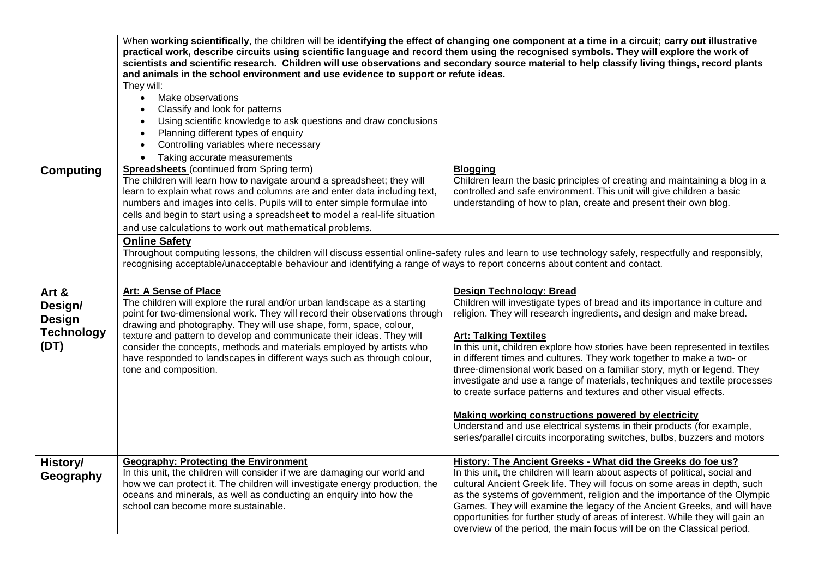|                                                                | When working scientifically, the children will be identifying the effect of changing one component at a time in a circuit; carry out illustrative<br>practical work, describe circuits using scientific language and record them using the recognised symbols. They will explore the work of<br>scientists and scientific research. Children will use observations and secondary source material to help classify living things, record plants<br>and animals in the school environment and use evidence to support or refute ideas.<br>They will:<br>Make observations<br>$\bullet$<br>Classify and look for patterns<br>Using scientific knowledge to ask questions and draw conclusions<br>Planning different types of enquiry<br>Controlling variables where necessary<br>Taking accurate measurements<br>$\bullet$ |                                                                                                                                                                                                                                                                                                                                                                                                                                                                                                                                                                                                                                                                                                                                                                                                                                  |
|----------------------------------------------------------------|-------------------------------------------------------------------------------------------------------------------------------------------------------------------------------------------------------------------------------------------------------------------------------------------------------------------------------------------------------------------------------------------------------------------------------------------------------------------------------------------------------------------------------------------------------------------------------------------------------------------------------------------------------------------------------------------------------------------------------------------------------------------------------------------------------------------------|----------------------------------------------------------------------------------------------------------------------------------------------------------------------------------------------------------------------------------------------------------------------------------------------------------------------------------------------------------------------------------------------------------------------------------------------------------------------------------------------------------------------------------------------------------------------------------------------------------------------------------------------------------------------------------------------------------------------------------------------------------------------------------------------------------------------------------|
| <b>Computing</b>                                               | <b>Spreadsheets</b> (continued from Spring term)<br>The children will learn how to navigate around a spreadsheet; they will<br>learn to explain what rows and columns are and enter data including text,<br>numbers and images into cells. Pupils will to enter simple formulae into<br>cells and begin to start using a spreadsheet to model a real-life situation<br>and use calculations to work out mathematical problems.                                                                                                                                                                                                                                                                                                                                                                                          | <b>Blogging</b><br>Children learn the basic principles of creating and maintaining a blog in a<br>controlled and safe environment. This unit will give children a basic<br>understanding of how to plan, create and present their own blog.                                                                                                                                                                                                                                                                                                                                                                                                                                                                                                                                                                                      |
|                                                                | <b>Online Safety</b><br>Throughout computing lessons, the children will discuss essential online-safety rules and learn to use technology safely, respectfully and responsibly,<br>recognising acceptable/unacceptable behaviour and identifying a range of ways to report concerns about content and contact.                                                                                                                                                                                                                                                                                                                                                                                                                                                                                                          |                                                                                                                                                                                                                                                                                                                                                                                                                                                                                                                                                                                                                                                                                                                                                                                                                                  |
| Art &<br>Design/<br><b>Design</b><br><b>Technology</b><br>(DT) | Art: A Sense of Place<br>The children will explore the rural and/or urban landscape as a starting<br>point for two-dimensional work. They will record their observations through<br>drawing and photography. They will use shape, form, space, colour,<br>texture and pattern to develop and communicate their ideas. They will<br>consider the concepts, methods and materials employed by artists who<br>have responded to landscapes in different ways such as through colour,<br>tone and composition.                                                                                                                                                                                                                                                                                                              | <b>Design Technology: Bread</b><br>Children will investigate types of bread and its importance in culture and<br>religion. They will research ingredients, and design and make bread.<br><b>Art: Talking Textiles</b><br>In this unit, children explore how stories have been represented in textiles<br>in different times and cultures. They work together to make a two- or<br>three-dimensional work based on a familiar story, myth or legend. They<br>investigate and use a range of materials, techniques and textile processes<br>to create surface patterns and textures and other visual effects.<br><b>Making working constructions powered by electricity</b><br>Understand and use electrical systems in their products (for example,<br>series/parallel circuits incorporating switches, bulbs, buzzers and motors |
| History/<br>Geography                                          | <b>Geography: Protecting the Environment</b><br>In this unit, the children will consider if we are damaging our world and<br>how we can protect it. The children will investigate energy production, the<br>oceans and minerals, as well as conducting an enquiry into how the<br>school can become more sustainable.                                                                                                                                                                                                                                                                                                                                                                                                                                                                                                   | History: The Ancient Greeks - What did the Greeks do foe us?<br>In this unit, the children will learn about aspects of political, social and<br>cultural Ancient Greek life. They will focus on some areas in depth, such<br>as the systems of government, religion and the importance of the Olympic<br>Games. They will examine the legacy of the Ancient Greeks, and will have<br>opportunities for further study of areas of interest. While they will gain an<br>overview of the period, the main focus will be on the Classical period.                                                                                                                                                                                                                                                                                    |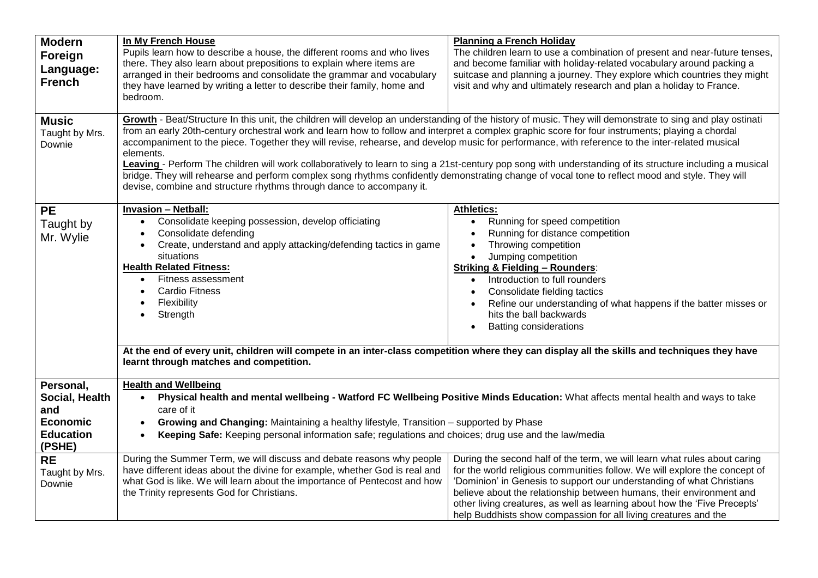| <b>Modern</b><br>Foreign<br>Language:<br><b>French</b>                              | In My French House<br>Pupils learn how to describe a house, the different rooms and who lives<br>there. They also learn about prepositions to explain where items are<br>arranged in their bedrooms and consolidate the grammar and vocabulary<br>they have learned by writing a letter to describe their family, home and<br>bedroom.                                                                                                                                                                                                                                                                                                                                                                                                                                                                                                                                | <b>Planning a French Holiday</b><br>The children learn to use a combination of present and near-future tenses,<br>and become familiar with holiday-related vocabulary around packing a<br>suitcase and planning a journey. They explore which countries they might<br>visit and why and ultimately research and plan a holiday to France.                                                                                                                |
|-------------------------------------------------------------------------------------|-----------------------------------------------------------------------------------------------------------------------------------------------------------------------------------------------------------------------------------------------------------------------------------------------------------------------------------------------------------------------------------------------------------------------------------------------------------------------------------------------------------------------------------------------------------------------------------------------------------------------------------------------------------------------------------------------------------------------------------------------------------------------------------------------------------------------------------------------------------------------|----------------------------------------------------------------------------------------------------------------------------------------------------------------------------------------------------------------------------------------------------------------------------------------------------------------------------------------------------------------------------------------------------------------------------------------------------------|
| <b>Music</b><br>Taught by Mrs.<br>Downie                                            | Growth - Beat/Structure In this unit, the children will develop an understanding of the history of music. They will demonstrate to sing and play ostinati<br>from an early 20th-century orchestral work and learn how to follow and interpret a complex graphic score for four instruments; playing a chordal<br>accompaniment to the piece. Together they will revise, rehearse, and develop music for performance, with reference to the inter-related musical<br>elements.<br>Leaving - Perform The children will work collaboratively to learn to sing a 21st-century pop song with understanding of its structure including a musical<br>bridge. They will rehearse and perform complex song rhythms confidently demonstrating change of vocal tone to reflect mood and style. They will<br>devise, combine and structure rhythms through dance to accompany it. |                                                                                                                                                                                                                                                                                                                                                                                                                                                          |
| <b>PE</b><br>Taught by<br>Mr. Wylie                                                 | <b>Invasion - Netball:</b><br>Consolidate keeping possession, develop officiating<br>Consolidate defending<br>Create, understand and apply attacking/defending tactics in game<br>situations<br><b>Health Related Fitness:</b><br>Fitness assessment<br>$\bullet$<br><b>Cardio Fitness</b><br>Flexibility<br>Strength<br>At the end of every unit, children will compete in an inter-class competition where they can display all the skills and techniques they have<br>learnt through matches and competition.                                                                                                                                                                                                                                                                                                                                                      | <b>Athletics:</b><br>Running for speed competition<br>Running for distance competition<br>Throwing competition<br>Jumping competition<br><b>Striking &amp; Fielding - Rounders:</b><br>Introduction to full rounders<br>Consolidate fielding tactics<br>Refine our understanding of what happens if the batter misses or<br>hits the ball backwards<br><b>Batting considerations</b>                                                                     |
| Personal,<br>Social, Health<br>and<br><b>Economic</b><br><b>Education</b><br>(PSHE) | <b>Health and Wellbeing</b><br>Physical health and mental wellbeing - Watford FC Wellbeing Positive Minds Education: What affects mental health and ways to take<br>care of it<br>Growing and Changing: Maintaining a healthy lifestyle, Transition - supported by Phase<br>$\bullet$<br>Keeping Safe: Keeping personal information safe; regulations and choices; drug use and the law/media<br>$\bullet$                                                                                                                                                                                                                                                                                                                                                                                                                                                            |                                                                                                                                                                                                                                                                                                                                                                                                                                                          |
| <b>RE</b><br>Taught by Mrs.<br>Downie                                               | During the Summer Term, we will discuss and debate reasons why people<br>have different ideas about the divine for example, whether God is real and<br>what God is like. We will learn about the importance of Pentecost and how<br>the Trinity represents God for Christians.                                                                                                                                                                                                                                                                                                                                                                                                                                                                                                                                                                                        | During the second half of the term, we will learn what rules about caring<br>for the world religious communities follow. We will explore the concept of<br>'Dominion' in Genesis to support our understanding of what Christians<br>believe about the relationship between humans, their environment and<br>other living creatures, as well as learning about how the 'Five Precepts'<br>help Buddhists show compassion for all living creatures and the |